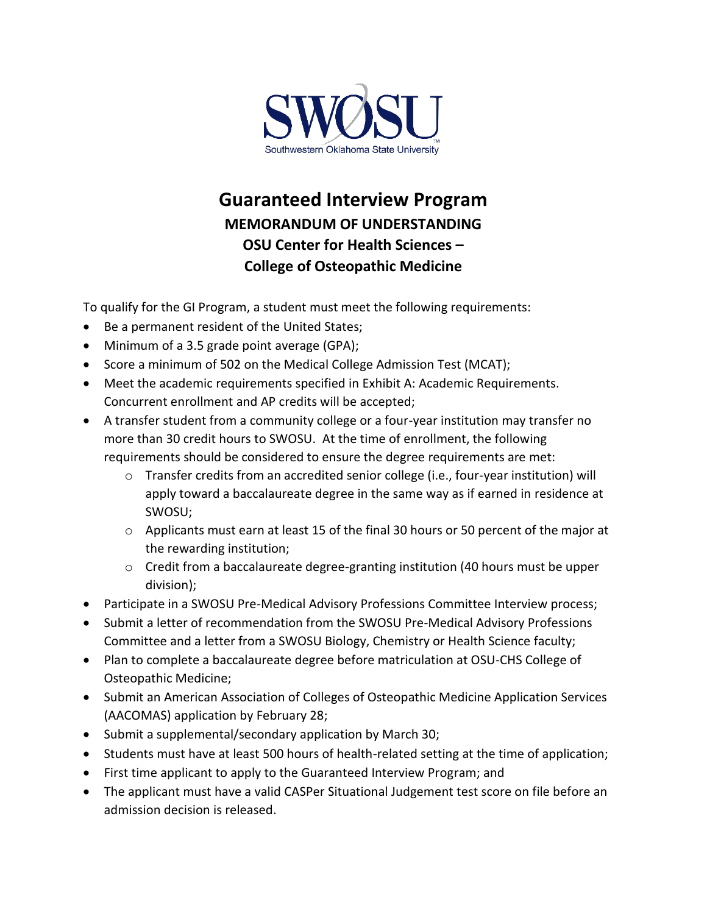

## **Guaranteed Interview Program MEMORANDUM OF UNDERSTANDING OSU Center for Health Sciences – College of Osteopathic Medicine**

To qualify for the GI Program, a student must meet the following requirements:

- Be a permanent resident of the United States;
- Minimum of a 3.5 grade point average (GPA);
- Score a minimum of 502 on the Medical College Admission Test (MCAT);
- Meet the academic requirements specified in Exhibit A: Academic Requirements. Concurrent enrollment and AP credits will be accepted;
- A transfer student from a community college or a four-year institution may transfer no more than 30 credit hours to SWOSU. At the time of enrollment, the following requirements should be considered to ensure the degree requirements are met:
	- o Transfer credits from an accredited senior college (i.e., four-year institution) will apply toward a baccalaureate degree in the same way as if earned in residence at SWOSU;
	- o Applicants must earn at least 15 of the final 30 hours or 50 percent of the major at the rewarding institution;
	- o Credit from a baccalaureate degree-granting institution (40 hours must be upper division);
- Participate in a SWOSU Pre-Medical Advisory Professions Committee Interview process;
- Submit a letter of recommendation from the SWOSU Pre-Medical Advisory Professions Committee and a letter from a SWOSU Biology, Chemistry or Health Science faculty;
- Plan to complete a baccalaureate degree before matriculation at OSU-CHS College of Osteopathic Medicine;
- Submit an American Association of Colleges of Osteopathic Medicine Application Services (AACOMAS) application by February 28;
- Submit a supplemental/secondary application by March 30;
- Students must have at least 500 hours of health-related setting at the time of application;
- First time applicant to apply to the Guaranteed Interview Program; and
- The applicant must have a valid CASPer Situational Judgement test score on file before an admission decision is released.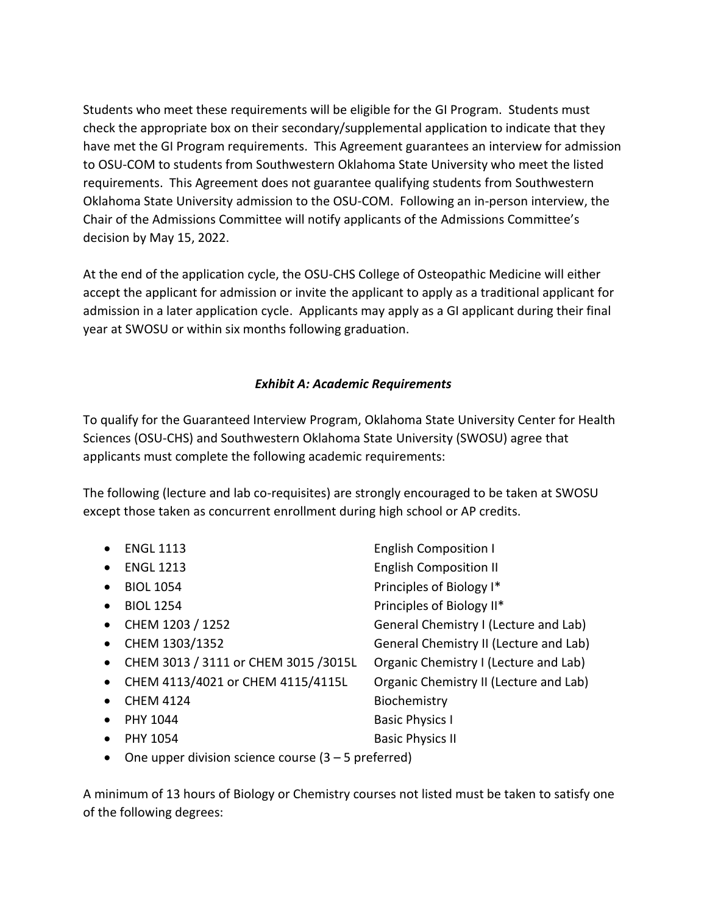Students who meet these requirements will be eligible for the GI Program. Students must check the appropriate box on their secondary/supplemental application to indicate that they have met the GI Program requirements. This Agreement guarantees an interview for admission to OSU-COM to students from Southwestern Oklahoma State University who meet the listed requirements. This Agreement does not guarantee qualifying students from Southwestern Oklahoma State University admission to the OSU-COM. Following an in-person interview, the Chair of the Admissions Committee will notify applicants of the Admissions Committee's decision by May 15, 2022.

At the end of the application cycle, the OSU-CHS College of Osteopathic Medicine will either accept the applicant for admission or invite the applicant to apply as a traditional applicant for admission in a later application cycle. Applicants may apply as a GI applicant during their final year at SWOSU or within six months following graduation.

## *Exhibit A: Academic Requirements*

To qualify for the Guaranteed Interview Program, Oklahoma State University Center for Health Sciences (OSU-CHS) and Southwestern Oklahoma State University (SWOSU) agree that applicants must complete the following academic requirements:

The following (lecture and lab co-requisites) are strongly encouraged to be taken at SWOSU except those taken as concurrent enrollment during high school or AP credits.

|           | <b>ENGL 1113</b>                      | <b>English Composition I</b>           |
|-----------|---------------------------------------|----------------------------------------|
| $\bullet$ | <b>ENGL 1213</b>                      | <b>English Composition II</b>          |
|           | <b>BIOL 1054</b>                      | Principles of Biology I*               |
| $\bullet$ | <b>BIOL 1254</b>                      | Principles of Biology II*              |
| $\bullet$ | CHEM 1203 / 1252                      | General Chemistry I (Lecture and Lab)  |
| $\bullet$ | CHEM 1303/1352                        | General Chemistry II (Lecture and Lab) |
| $\bullet$ | CHEM 3013 / 3111 or CHEM 3015 / 3015L | Organic Chemistry I (Lecture and Lab)  |
| $\bullet$ | CHEM 4113/4021 or CHEM 4115/4115L     | Organic Chemistry II (Lecture and Lab) |
|           | <b>CHEM 4124</b>                      | Biochemistry                           |
| $\bullet$ | PHY 1044                              | <b>Basic Physics I</b>                 |
|           | <b>PHY 1054</b>                       | <b>Basic Physics II</b>                |
|           |                                       |                                        |

• One upper division science course  $(3 - 5$  preferred)

A minimum of 13 hours of Biology or Chemistry courses not listed must be taken to satisfy one of the following degrees: